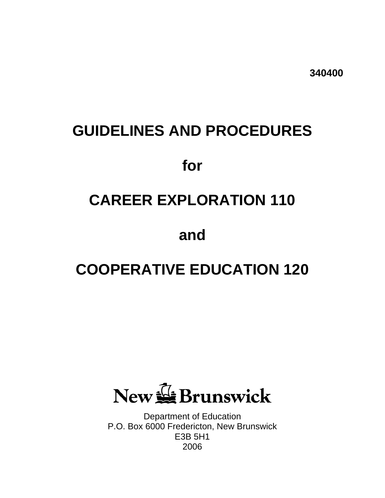**340400** 

# **GUIDELINES AND PROCEDURES**

## **for**

# **CAREER EXPLORATION 110**

**and** 

# **COOPERATIVE EDUCATION 120**

New GBrunswick

Department of Education P.O. Box 6000 Fredericton, New Brunswick E3B 5H1 2006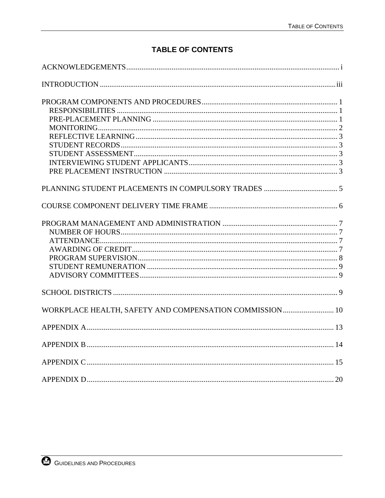## **TABLE OF CONTENTS**

| WORKPLACE HEALTH, SAFETY AND COMPENSATION COMMISSION  10 |  |
|----------------------------------------------------------|--|
|                                                          |  |
|                                                          |  |
|                                                          |  |
|                                                          |  |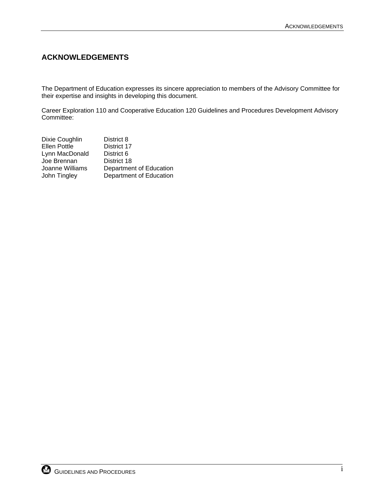## <span id="page-4-0"></span>**ACKNOWLEDGEMENTS**

The Department of Education expresses its sincere appreciation to members of the Advisory Committee for their expertise and insights in developing this document.

Career Exploration 110 and Cooperative Education 120 Guidelines and Procedures Development Advisory Committee:

| District 8              |
|-------------------------|
| District 17             |
| District 6              |
| District 18             |
| Department of Education |
| Department of Education |
|                         |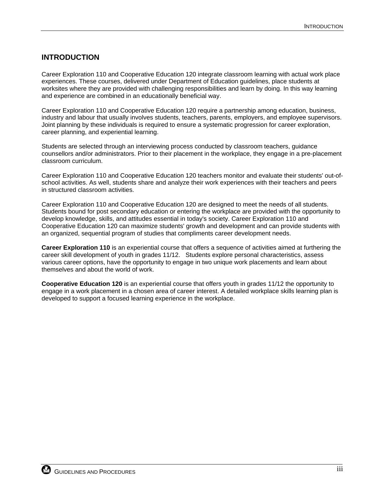## <span id="page-6-0"></span>**INTRODUCTION**

Career Exploration 110 and Cooperative Education 120 integrate classroom learning with actual work place experiences. These courses, delivered under Department of Education guidelines, place students at worksites where they are provided with challenging responsibilities and learn by doing. In this way learning and experience are combined in an educationally beneficial way.

Career Exploration 110 and Cooperative Education 120 require a partnership among education, business, industry and labour that usually involves students, teachers, parents, employers, and employee supervisors. Joint planning by these individuals is required to ensure a systematic progression for career exploration, career planning, and experiential learning.

Students are selected through an interviewing process conducted by classroom teachers, guidance counsellors and/or administrators. Prior to their placement in the workplace, they engage in a pre-placement classroom curriculum.

Career Exploration 110 and Cooperative Education 120 teachers monitor and evaluate their students' out-ofschool activities. As well, students share and analyze their work experiences with their teachers and peers in structured classroom activities.

Career Exploration 110 and Cooperative Education 120 are designed to meet the needs of all students. Students bound for post secondary education or entering the workplace are provided with the opportunity to develop knowledge, skills, and attitudes essential in today's society. Career Exploration 110 and Cooperative Education 120 can maximize students' growth and development and can provide students with an organized, sequential program of studies that compliments career development needs.

**Career Exploration 110** is an experiential course that offers a sequence of activities aimed at furthering the career skill development of youth in grades 11/12. Students explore personal characteristics, assess various career options, have the opportunity to engage in two unique work placements and learn about themselves and about the world of work.

**Cooperative Education 120** is an experiential course that offers youth in grades 11/12 the opportunity to engage in a work placement in a chosen area of career interest. A detailed workplace skills learning plan is developed to support a focused learning experience in the workplace.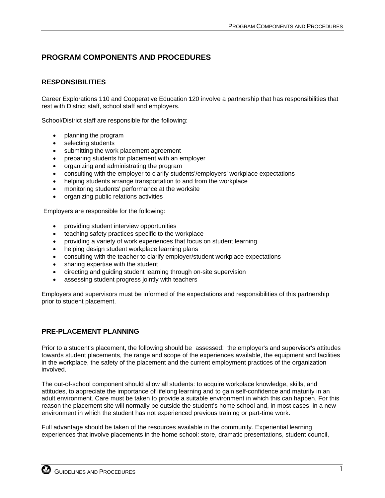## <span id="page-8-0"></span>**PROGRAM COMPONENTS AND PROCEDURES**

## **RESPONSIBILITIES**

Career Explorations 110 and Cooperative Education 120 involve a partnership that has responsibilities that rest with District staff, school staff and employers.

School/District staff are responsible for the following:

- planning the program
- selecting students
- submitting the work placement agreement
- preparing students for placement with an employer
- organizing and administrating the program
- consulting with the employer to clarify students'/employers' workplace expectations
- helping students arrange transportation to and from the workplace
- monitoring students' performance at the worksite
- organizing public relations activities

Employers are responsible for the following:

- providing student interview opportunities
- teaching safety practices specific to the workplace
- providing a variety of work experiences that focus on student learning
- helping design student workplace learning plans
- consulting with the teacher to clarify employer/student workplace expectations
- sharing expertise with the student
- directing and guiding student learning through on-site supervision
- assessing student progress jointly with teachers

Employers and supervisors must be informed of the expectations and responsibilities of this partnership prior to student placement.

## **PRE-PLACEMENT PLANNING**

Prior to a student's placement, the following should be assessed: the employer's and supervisor's attitudes towards student placements, the range and scope of the experiences available, the equipment and facilities in the workplace, the safety of the placement and the current employment practices of the organization involved.

The out-of-school component should allow all students: to acquire workplace knowledge, skills, and attitudes, to appreciate the importance of lifelong learning and to gain self-confidence and maturity in an adult environment. Care must be taken to provide a suitable environment in which this can happen. For this reason the placement site will normally be outside the student's home school and, in most cases, in a new environment in which the student has not experienced previous training or part-time work.

Full advantage should be taken of the resources available in the community. Experiential learning experiences that involve placements in the home school: store, dramatic presentations, student council,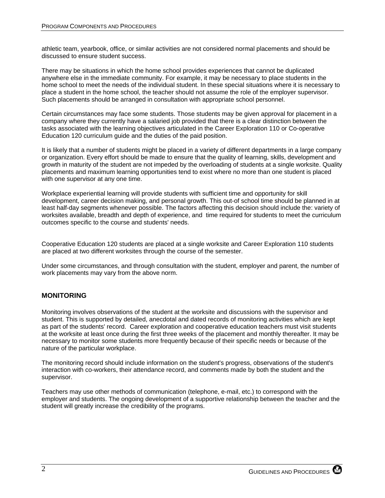<span id="page-9-0"></span>athletic team, yearbook, office, or similar activities are not considered normal placements and should be discussed to ensure student success.

There may be situations in which the home school provides experiences that cannot be duplicated anywhere else in the immediate community. For example, it may be necessary to place students in the home school to meet the needs of the individual student. In these special situations where it is necessary to place a student in the home school, the teacher should not assume the role of the employer supervisor. Such placements should be arranged in consultation with appropriate school personnel.

Certain circumstances may face some students. Those students may be given approval for placement in a company where they currently have a salaried job provided that there is a clear distinction between the tasks associated with the learning objectives articulated in the Career Exploration 110 or Co-operative Education 120 curriculum guide and the duties of the paid position.

It is likely that a number of students might be placed in a variety of different departments in a large company or organization. Every effort should be made to ensure that the quality of learning, skills, development and growth in maturity of the student are not impeded by the overloading of students at a single worksite. Quality placements and maximum learning opportunities tend to exist where no more than one student is placed with one supervisor at any one time.

Workplace experiential learning will provide students with sufficient time and opportunity for skill development, career decision making, and personal growth. This out-of school time should be planned in at least half-day segments whenever possible. The factors affecting this decision should include the: variety of worksites available, breadth and depth of experience, and time required for students to meet the curriculum outcomes specific to the course and students' needs.

Cooperative Education 120 students are placed at a single worksite and Career Exploration 110 students are placed at two different worksites through the course of the semester.

Under some circumstances, and through consultation with the student, employer and parent, the number of work placements may vary from the above norm.

## **MONITORING**

Monitoring involves observations of the student at the worksite and discussions with the supervisor and student. This is supported by detailed, anecdotal and dated records of monitoring activities which are kept as part of the students' record. Career exploration and cooperative education teachers must visit students at the worksite at least once during the first three weeks of the placement and monthly thereafter. It may be necessary to monitor some students more frequently because of their specific needs or because of the nature of the particular workplace.

The monitoring record should include information on the student's progress, observations of the student's interaction with co-workers, their attendance record, and comments made by both the student and the supervisor.

Teachers may use other methods of communication (telephone, e-mail, etc.) to correspond with the employer and students. The ongoing development of a supportive relationship between the teacher and the student will greatly increase the credibility of the programs.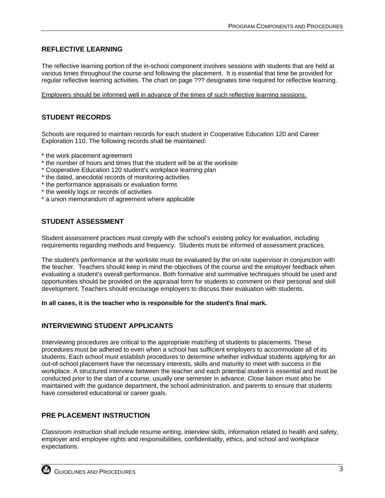## <span id="page-10-0"></span>**REFLECTIVE LEARNING**

The reflective learning portion of the in-school component involves sessions with students that are held at various times throughout the course and following the placement. It is essential that time be provided for regular reflective learning activities. The chart on page ??? designates time required for reflective learning.

Employers should be informed well in advance of the times of such reflective learning sessions.

## **STUDENT RECORDS**

Schools are required to maintain records for each student in Cooperative Education 120 and Career Exploration 110. The following records shall be maintained:

- \* the work placement agreement
- \* the number of hours and times that the student will be at the worksite
- \* Cooperative Education 120 student's workplace learning plan
- \* the dated, anecdotal records of monitoring activities
- \* the performance appraisals or evaluation forms
- \* the weekly logs or records of activities
- \* a union memorandum of agreement where applicable

## **STUDENT ASSESSMENT**

Student assessment practices must comply with the school's existing policy for evaluation, including requirements regarding methods and frequency. Students must be informed of assessment practices.

The student's performance at the worksite must be evaluated by the on-site supervisor in conjunction with the teacher. Teachers should keep in mind the objectives of the course and the employer feedback when evaluating a student's overall performance. Both formative and summative techniques should be used and opportunities should be provided on the appraisal form for students to comment on their personal and skill development. Teachers should encourage employers to discuss their evaluation with students.

**In all cases, it is the teacher who is responsible for the student's final mark.** 

#### **INTERVIEWING STUDENT APPLICANTS**

Interviewing procedures are critical to the appropriate matching of students to placements. These procedures must be adhered to even when a school has sufficient employers to accommodate all of its students. Each school must establish procedures to determine whether individual students applying for an out-of-school placement have the necessary interests, skills and maturity to meet with success in the workplace. A structured interview between the teacher and each potential student is essential and must be conducted prior to the start of a course, usually one semester in advance. Close liaison must also be maintained with the guidance department, the school administration, and parents to ensure that students have considered educational or career goals.

## **PRE PLACEMENT INSTRUCTION**

Classroom instruction shall include resume writing, interview skills, information related to health and safety, employer and employee rights and responsibilities, confidentiality, ethics, and school and workplace expectations.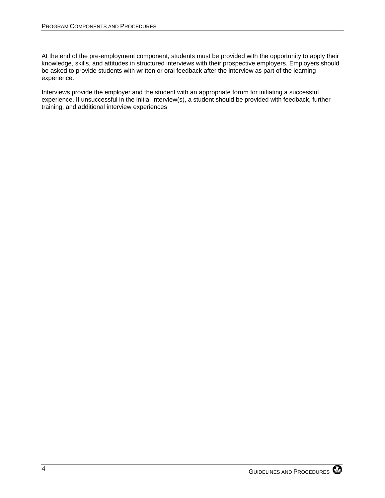At the end of the pre-employment component, students must be provided with the opportunity to apply their knowledge, skills, and attitudes in structured interviews with their prospective employers. Employers should be asked to provide students with written or oral feedback after the interview as part of the learning experience.

Interviews provide the employer and the student with an appropriate forum for initiating a successful experience. If unsuccessful in the initial interview(s), a student should be provided with feedback, further training, and additional interview experiences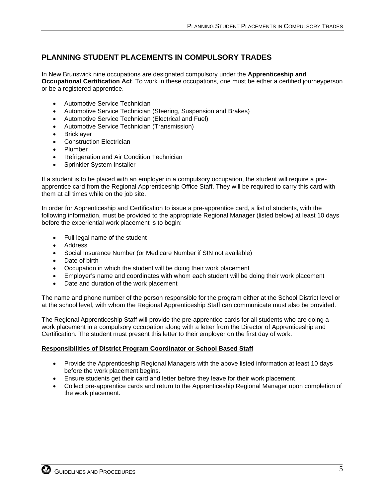## <span id="page-12-0"></span>**PLANNING STUDENT PLACEMENTS IN COMPULSORY TRADES**

In New Brunswick nine occupations are designated compulsory under the **Apprenticeship and Occupational Certification Act**. To work in these occupations, one must be either a certified journeyperson or be a registered apprentice.

- Automotive Service Technician
- Automotive Service Technician (Steering, Suspension and Brakes)
- Automotive Service Technician (Electrical and Fuel)
- Automotive Service Technician (Transmission)
- **Bricklayer**
- Construction Electrician
- Plumber
- Refrigeration and Air Condition Technician
- Sprinkler System Installer

If a student is to be placed with an employer in a compulsory occupation, the student will require a preapprentice card from the Regional Apprenticeship Office Staff. They will be required to carry this card with them at all times while on the job site.

In order for Apprenticeship and Certification to issue a pre-apprentice card, a list of students, with the following information, must be provided to the appropriate Regional Manager (listed below) at least 10 days before the experiential work placement is to begin:

- Full legal name of the student
- **Address**
- Social Insurance Number (or Medicare Number if SIN not available)
- Date of birth
- Occupation in which the student will be doing their work placement
- Employer's name and coordinates with whom each student will be doing their work placement
- Date and duration of the work placement

The name and phone number of the person responsible for the program either at the School District level or at the school level, with whom the Regional Apprenticeship Staff can communicate must also be provided.

The Regional Apprenticeship Staff will provide the pre-apprentice cards for all students who are doing a work placement in a compulsory occupation along with a letter from the Director of Apprenticeship and Certification. The student must present this letter to their employer on the first day of work.

#### **Responsibilities of District Program Coordinator or School Based Staff**

- Provide the Apprenticeship Regional Managers with the above listed information at least 10 days before the work placement begins.
- Ensure students get their card and letter before they leave for their work placement
- Collect pre-apprentice cards and return to the Apprenticeship Regional Manager upon completion of the work placement.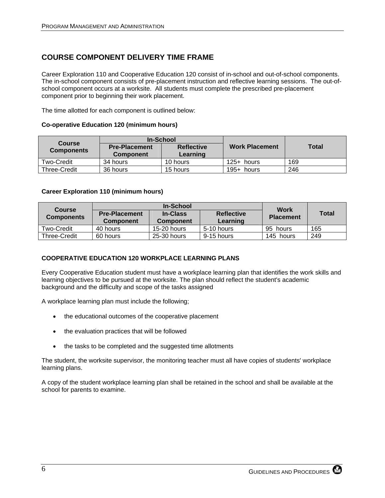## <span id="page-13-0"></span>**COURSE COMPONENT DELIVERY TIME FRAME**

Career Exploration 110 and Cooperative Education 120 consist of in-school and out-of-school components. The in-school component consists of pre-placement instruction and reflective learning sessions. The out-ofschool component occurs at a worksite. All students must complete the prescribed pre-placement component prior to beginning their work placement.

The time allotted for each component is outlined below:

#### **Co-operative Education 120 (minimum hours)**

| <b>Course</b>     | In-School                                |                               |                       |              |  |
|-------------------|------------------------------------------|-------------------------------|-----------------------|--------------|--|
| <b>Components</b> | <b>Pre-Placement</b><br><b>Component</b> | <b>Reflective</b><br>Learning | <b>Work Placement</b> | <b>Total</b> |  |
| Two-Credit        | 34 hours                                 | 10 hours                      | $125+$ hours          | 169          |  |
| Three-Credit      | 36 hours                                 | 15 hours                      | $195+$ hours          | 246          |  |

#### **Career Exploration 110 (minimum hours)**

| <b>Course</b>       | In-School            |                  |                   | <b>Work</b>      |              |
|---------------------|----------------------|------------------|-------------------|------------------|--------------|
| <b>Components</b>   | <b>Pre-Placement</b> | <b>In-Class</b>  | <b>Reflective</b> | <b>Placement</b> | <b>Total</b> |
|                     | <b>Component</b>     | <b>Component</b> | Learning          |                  |              |
| Two-Credit          | 40 hours             | 15-20 hours      | 5-10 hours        | 95 hours         | 165          |
| <b>Three-Credit</b> | 60 hours             | 25-30 hours      | 9-15 hours        | 145 hours        | 249          |

#### **COOPERATIVE EDUCATION 120 WORKPLACE LEARNING PLANS**

Every Cooperative Education student must have a workplace learning plan that identifies the work skills and learning objectives to be pursued at the worksite. The plan should reflect the student's academic background and the difficulty and scope of the tasks assigned

A workplace learning plan must include the following;

- the educational outcomes of the cooperative placement
- the evaluation practices that will be followed
- the tasks to be completed and the suggested time allotments

The student, the worksite supervisor, the monitoring teacher must all have copies of students' workplace learning plans.

A copy of the student workplace learning plan shall be retained in the school and shall be available at the school for parents to examine.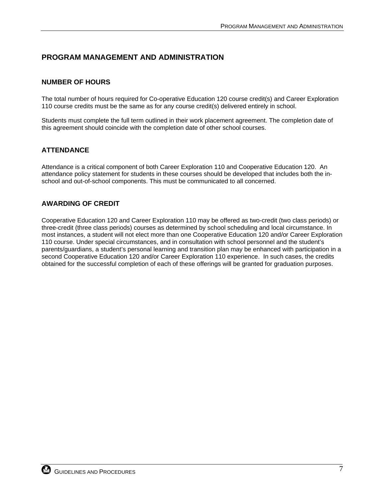## <span id="page-14-0"></span>**PROGRAM MANAGEMENT AND ADMINISTRATION**

#### **NUMBER OF HOURS**

The total number of hours required for Co-operative Education 120 course credit(s) and Career Exploration 110 course credits must be the same as for any course credit(s) delivered entirely in school.

Students must complete the full term outlined in their work placement agreement. The completion date of this agreement should coincide with the completion date of other school courses.

#### **ATTENDANCE**

Attendance is a critical component of both Career Exploration 110 and Cooperative Education 120. An attendance policy statement for students in these courses should be developed that includes both the inschool and out-of-school components. This must be communicated to all concerned.

#### **AWARDING OF CREDIT**

Cooperative Education 120 and Career Exploration 110 may be offered as two-credit (two class periods) or three-credit (three class periods) courses as determined by school scheduling and local circumstance. In most instances, a student will not elect more than one Cooperative Education 120 and/or Career Exploration 110 course. Under special circumstances, and in consultation with school personnel and the student's parents/guardians, a student's personal learning and transition plan may be enhanced with participation in a second Cooperative Education 120 and/or Career Exploration 110 experience. In such cases, the credits obtained for the successful completion of each of these offerings will be granted for graduation purposes.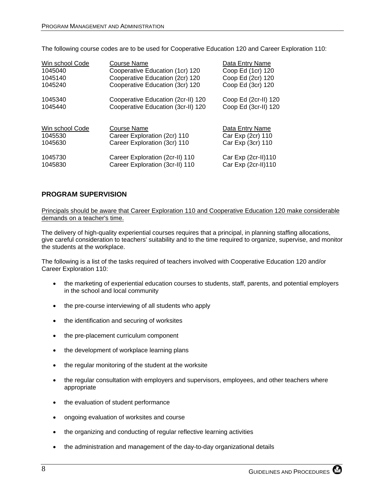<span id="page-15-0"></span>The following course codes are to be used for Cooperative Education 120 and Career Exploration 110:

| Win school Code | Course Name                        | Data Entry Name      |
|-----------------|------------------------------------|----------------------|
| 1045040         | Cooperative Education (1cr) 120    | Coop Ed (1cr) 120    |
| 1045140         | Cooperative Education (2cr) 120    | Coop Ed (2cr) 120    |
| 1045240         | Cooperative Education (3cr) 120    | Coop Ed (3cr) 120    |
| 1045340         | Cooperative Education (2cr-II) 120 | Coop Ed (2cr-II) 120 |
| 1045440         | Cooperative Education (3cr-II) 120 | Coop Ed (3cr-II) 120 |
| Win school Code | Course Name                        | Data Entry Name      |
| 1045530         | Career Exploration (2cr) 110       | Car Exp (2cr) 110    |
| 1045630         | Career Exploration (3cr) 110       | Car Exp (3cr) 110    |
| 1045730         | Career Exploration (2cr-II) 110    | Car Exp (2cr-II)110  |
| 1045830         | Career Exploration (3cr-II) 110    | Car Exp (2cr-II)110  |

## **PROGRAM SUPERVISION**

Principals should be aware that Career Exploration 110 and Cooperative Education 120 make considerable demands on a teacher's time.

The delivery of high-quality experiential courses requires that a principal, in planning staffing allocations, give careful consideration to teachers' suitability and to the time required to organize, supervise, and monitor the students at the workplace.

The following is a list of the tasks required of teachers involved with Cooperative Education 120 and/or Career Exploration 110:

- the marketing of experiential education courses to students, staff, parents, and potential employers in the school and local community
- the pre-course interviewing of all students who apply
- the identification and securing of worksites
- the pre-placement curriculum component
- the development of workplace learning plans
- the regular monitoring of the student at the worksite
- the regular consultation with employers and supervisors, employees, and other teachers where appropriate
- the evaluation of student performance
- ongoing evaluation of worksites and course
- the organizing and conducting of regular reflective learning activities
- the administration and management of the day-to-day organizational details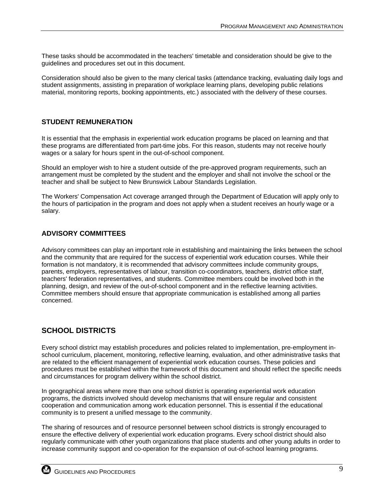<span id="page-16-0"></span>These tasks should be accommodated in the teachers' timetable and consideration should be give to the guidelines and procedures set out in this document.

Consideration should also be given to the many clerical tasks (attendance tracking, evaluating daily logs and student assignments, assisting in preparation of workplace learning plans, developing public relations material, monitoring reports, booking appointments, etc.) associated with the delivery of these courses.

## **STUDENT REMUNERATION**

It is essential that the emphasis in experiential work education programs be placed on learning and that these programs are differentiated from part-time jobs. For this reason, students may not receive hourly wages or a salary for hours spent in the out-of-school component.

Should an employer wish to hire a student outside of the pre-approved program requirements, such an arrangement must be completed by the student and the employer and shall not involve the school or the teacher and shall be subject to New Brunswick Labour Standards Legislation.

The Workers' Compensation Act coverage arranged through the Department of Education will apply only to the hours of participation in the program and does not apply when a student receives an hourly wage or a salary.

## **ADVISORY COMMITTEES**

Advisory committees can play an important role in establishing and maintaining the links between the school and the community that are required for the success of experiential work education courses. While their formation is not mandatory, it is recommended that advisory committees include community groups, parents, employers, representatives of labour, transition co-coordinators, teachers, district office staff, teachers' federation representatives, and students. Committee members could be involved both in the planning, design, and review of the out-of-school component and in the reflective learning activities. Committee members should ensure that appropriate communication is established among all parties concerned.

## **SCHOOL DISTRICTS**

Every school district may establish procedures and policies related to implementation, pre-employment inschool curriculum, placement, monitoring, reflective learning, evaluation, and other administrative tasks that are related to the efficient management of experiential work education courses. These policies and procedures must be established within the framework of this document and should reflect the specific needs and circumstances for program delivery within the school district.

In geographical areas where more than one school district is operating experiential work education programs, the districts involved should develop mechanisms that will ensure regular and consistent cooperation and communication among work education personnel. This is essential if the educational community is to present a unified message to the community.

The sharing of resources and of resource personnel between school districts is strongly encouraged to ensure the effective delivery of experiential work education programs. Every school district should also regularly communicate with other youth organizations that place students and other young adults in order to increase community support and co-operation for the expansion of out-of-school learning programs.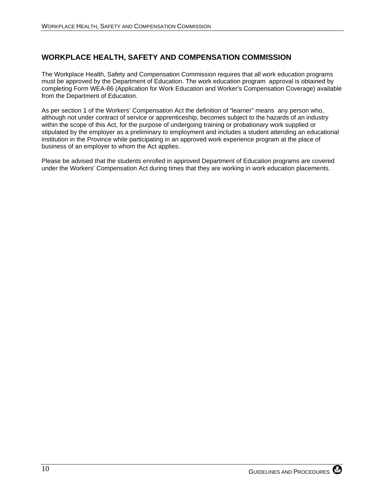## <span id="page-17-0"></span>**WORKPLACE HEALTH, SAFETY AND COMPENSATION COMMISSION**

The Workplace Health, Safety and Compensation Commission requires that all work education programs must be approved by the Department of Education. The work education program approval is obtained by completing Form WEA-86 (Application for Work Education and Worker's Compensation Coverage) available from the Department of Education.

As per section 1 of the Workers' Compensation Act the definition of "learner" means any person who, although not under contract of service or apprenticeship, becomes subject to the hazards of an industry within the scope of this Act, for the purpose of undergoing training or probationary work supplied or stipulated by the employer as a preliminary to employment and includes a student attending an educational institution in the Province while participating in an approved work experience program at the place of business of an employer to whom the Act applies.

Please be advised that the students enrolled in approved Department of Education programs are covered under the Workers' Compensation Act during times that they are working in work education placements.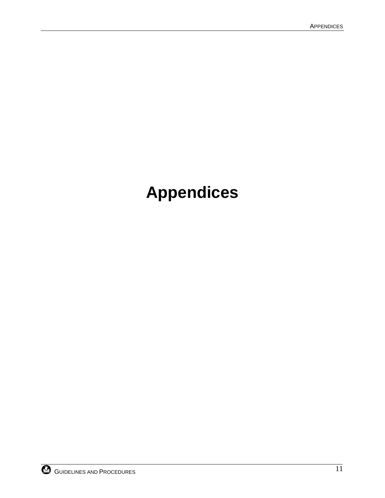# **Appendices**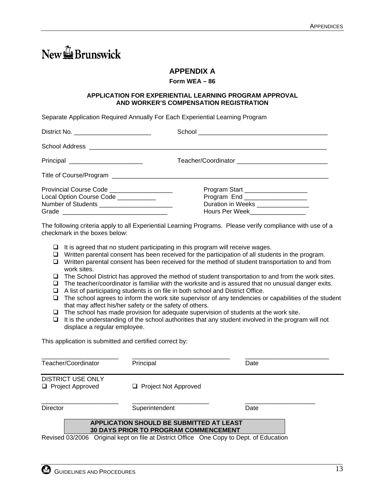# <span id="page-20-0"></span>New FBrunswick

## **APPENDIX A**

#### **Form WEA – 86**

#### **APPLICATION FOR EXPERIENTIAL LEARNING PROGRAM APPROVAL AND WORKER'S COMPENSATION REGISTRATION**

Separate Application Required Annually For Each Experiential Learning Program

| Principal __________________________                                                 |                                                                                                                                                 |
|--------------------------------------------------------------------------------------|-------------------------------------------------------------------------------------------------------------------------------------------------|
|                                                                                      |                                                                                                                                                 |
| Provincial Course Code ____________________<br>Local Option Course Code ____________ | Program Start ____________________<br>Program End ___________________<br>Duration in Weeks ________________<br>Hours Per Week__________________ |

The following criteria apply to all Experiential Learning Programs. Please verify compliance with use of a checkmark in the boxes below:

- $\Box$  It is agreed that no student participating in this program will receive wages.
- $\Box$  Written parental consent has been received for the participation of all students in the program.
- $\Box$  Written parental consent has been received for the method of student transportation to and from work sites.
- The School District has approved the method of student transportation to and from the work sites.
- $\Box$  The teacher/coordinator is familiar with the worksite and is assured that no unusual danger exits.
- $\Box$  A list of participating students is on file in both school and District Office.
- $\Box$  The school agrees to inform the work site supervisor of any tendencies or capabilities of the student that may affect his/her safety or the safety of others.
- $\Box$  The school has made provision for adequate supervision of students at the work site.
- $\Box$  It is the understanding of the school authorities that any student involved in the program will not displace a regular employee.

This application is submitted and certified correct by:

| Teacher/Coordinator                            | Principal                                                                                       | Date |
|------------------------------------------------|-------------------------------------------------------------------------------------------------|------|
| <b>DISTRICT USE ONLY</b><br>□ Project Approved | $\Box$ Project Not Approved                                                                     |      |
| Director                                       | Superintendent                                                                                  | Date |
|                                                | <b>APPLICATION SHOULD BE SUBMITTED AT LEAST</b><br><b>30 DAYS PRIOR TO PROGRAM COMMENCEMENT</b> |      |
|                                                | Revised 03/2006 Original kent on file at District Office One Copy to Dept of Education          |      |

 $2006$  Original kept on file at District Office One Copy to Dept. of Education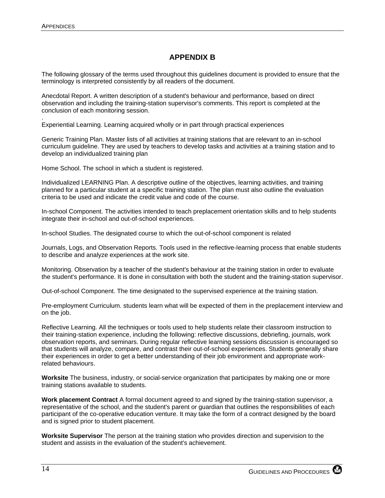## **APPENDIX B**

<span id="page-21-0"></span>The following glossary of the terms used throughout this guidelines document is provided to ensure that the terminology is interpreted consistently by all readers of the document.

Anecdotal Report. A written description of a student's behaviour and performance, based on direct observation and including the training-station supervisor's comments. This report is completed at the conclusion of each monitoring session.

. Experiential Learning. Learning acquired wholly or in part through practical experiences

Generic Training Plan. Master lists of all activities at training stations that are relevant to an in-school curriculum guideline. They are used by teachers to develop tasks and activities at a training station and to develop an individualized training plan

Home School. The school in which a student is registered.

Individualized LEARNING Plan. A descriptive outline of the objectives, learning activities, and training planned for a particular student at a specific training station. The plan must also outline the evaluation criteria to be used and indicate the credit value and code of the course.

In-school Component. The activities intended to teach preplacement orientation skills and to help students integrate their in-school and out-of-school experiences.

In-school Studies. The designated course to which the out-of-school component is related

Journals, Logs, and Observation Reports. Tools used in the reflective-Iearning process that enable students to describe and analyze experiences at the work site.

Monitoring. Observation by a teacher of the student's behaviour at the training station in order to evaluate the student's performance. It is done in consultation with both the student and the training-station supervisor.

Out-of-school Component. The time designated to the supervised experience at the training station.

Pre-employment Curriculum. students learn what will be expected of them in the preplacement interview and on the job.

Reflective Learning. All the techniques or tools used to help students relate their classroom instruction to their training-station experience, including the following: reflective discussions, debriefing, journals, work observation reports, and seminars. During regular reflective learning sessions discussion is encouraged so that students will analyze, compare, and contrast their out-of-school experiences. Students generally share their experiences in order to get a better understanding of their job environment and appropriate workrelated behaviours.

**Worksite** The business, industry, or social-service organization that participates by making one or more training stations available to students.

**Work placement Contract** A formal document agreed to and signed by the training-station supervisor, a representative of the school, and the student's parent or guardian that outlines the responsibilities of each participant of the co-operative education venture. It may take the form of a contract designed by the board and is signed prior to student placement.

**Worksite Supervisor** The person at the training station who provides direction and supervision to the student and assists in the evaluation of the student's achievement.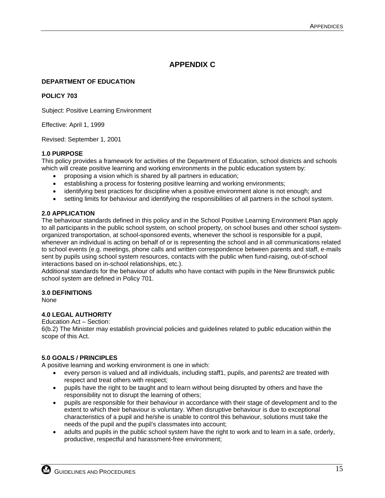## **APPENDIX C**

#### <span id="page-22-0"></span>**DEPARTMENT OF EDUCATION**

#### **POLICY 703**

Subject: Positive Learning Environment

Effective: April 1, 1999

Revised: September 1, 2001

#### **1.0 PURPOSE**

This policy provides a framework for activities of the Department of Education, school districts and schools which will create positive learning and working environments in the public education system by:

- proposing a vision which is shared by all partners in education;
- establishing a process for fostering positive learning and working environments;
- identifying best practices for discipline when a positive environment alone is not enough; and
- setting limits for behaviour and identifying the responsibilities of all partners in the school system.

#### **2.0 APPLICATION**

The behaviour standards defined in this policy and in the School Positive Learning Environment Plan apply to all participants in the public school system, on school property, on school buses and other school systemorganized transportation, at school-sponsored events, whenever the school is responsible for a pupil, whenever an individual is acting on behalf of or is representing the school and in all communications related to school events (e.g. meetings, phone calls and written correspondence between parents and staff, e-mails sent by pupils using school system resources, contacts with the public when fund-raising, out-of-school interactions based on in-school relationships, etc.).

Additional standards for the behaviour of adults who have contact with pupils in the New Brunswick public school system are defined in Policy 701.

#### **3.0 DEFINITIONS**

None

#### **4.0 LEGAL AUTHORITY**

Education Act – Section:

6(b.2) The Minister may establish provincial policies and guidelines related to public education within the scope of this Act.

#### **5.0 GOALS / PRINCIPLES**

A positive learning and working environment is one in which:

- every person is valued and all individuals, including staff1, pupils, and parents2 are treated with respect and treat others with respect;
- pupils have the right to be taught and to learn without being disrupted by others and have the responsibility not to disrupt the learning of others;
- pupils are responsible for their behaviour in accordance with their stage of development and to the extent to which their behaviour is voluntary. When disruptive behaviour is due to exceptional characteristics of a pupil and he/she is unable to control this behaviour, solutions must take the needs of the pupil and the pupil's classmates into account;
- adults and pupils in the public school system have the right to work and to learn in a safe, orderly, productive, respectful and harassment-free environment;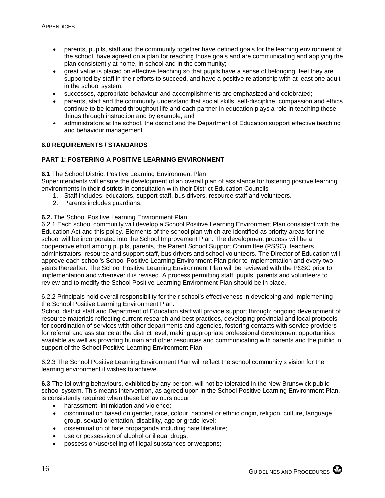- parents, pupils, staff and the community together have defined goals for the learning environment of the school, have agreed on a plan for reaching those goals and are communicating and applying the plan consistently at home, in school and in the community;
- great value is placed on effective teaching so that pupils have a sense of belonging, feel they are supported by staff in their efforts to succeed, and have a positive relationship with at least one adult in the school system;
- successes, appropriate behaviour and accomplishments are emphasized and celebrated;
- parents, staff and the community understand that social skills, self-discipline, compassion and ethics continue to be learned throughout life and each partner in education plays a role in teaching these things through instruction and by example; and
- administrators at the school, the district and the Department of Education support effective teaching and behaviour management.

#### **6.0 REQUIREMENTS / STANDARDS**

#### **PART 1: FOSTERING A POSITIVE LEARNING ENVIRONMENT**

**6.1** The School District Positive Learning Environment Plan

Superintendents will ensure the development of an overall plan of assistance for fostering positive learning environments in their districts in consultation with their District Education Councils.

- 1. Staff includes: educators, support staff, bus drivers, resource staff and volunteers.
- 2. Parents includes guardians.

#### **6.2.** The School Positive Learning Environment Plan

6.2.1 Each school community will develop a School Positive Learning Environment Plan consistent with the Education Act and this policy. Elements of the school plan which are identified as priority areas for the school will be incorporated into the School Improvement Plan. The development process will be a cooperative effort among pupils, parents, the Parent School Support Committee (PSSC), teachers, administrators, resource and support staff, bus drivers and school volunteers. The Director of Education will approve each school's School Positive Learning Environment Plan prior to implementation and every two years thereafter. The School Positive Learning Environment Plan will be reviewed with the PSSC prior to implementation and whenever it is revised. A process permitting staff, pupils, parents and volunteers to review and to modify the School Positive Learning Environment Plan should be in place.

6.2.2 Principals hold overall responsibility for their school's effectiveness in developing and implementing the School Positive Learning Environment Plan.

School district staff and Department of Education staff will provide support through: ongoing development of resource materials reflecting current research and best practices, developing provincial and local protocols for coordination of services with other departments and agencies, fostering contacts with service providers for referral and assistance at the district level, making appropriate professional development opportunities available as well as providing human and other resources and communicating with parents and the public in support of the School Positive Learning Environment Plan.

6.2.3 The School Positive Learning Environment Plan will reflect the school community's vision for the learning environment it wishes to achieve.

**6.3** The following behaviours, exhibited by any person, will not be tolerated in the New Brunswick public school system. This means intervention, as agreed upon in the School Positive Learning Environment Plan, is consistently required when these behaviours occur:

- harassment, intimidation and violence;
- discrimination based on gender, race, colour, national or ethnic origin, religion, culture, language group, sexual orientation, disability, age or grade level;
- dissemination of hate propaganda including hate literature;
- use or possession of alcohol or illegal drugs;
- possession/use/selling of illegal substances or weapons;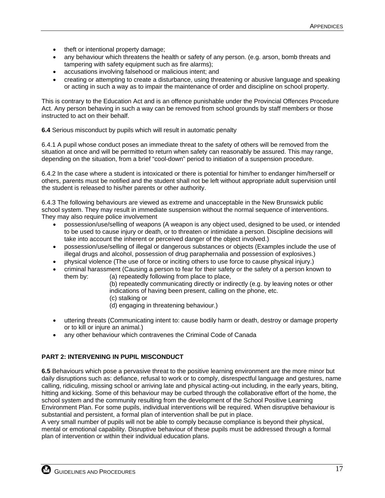- theft or intentional property damage;
- any behaviour which threatens the health or safety of any person. (e.g. arson, bomb threats and tampering with safety equipment such as fire alarms);
- accusations involving falsehood or malicious intent; and
- creating or attempting to create a disturbance, using threatening or abusive language and speaking or acting in such a way as to impair the maintenance of order and discipline on school property.

This is contrary to the Education Act and is an offence punishable under the Provincial Offences Procedure Act. Any person behaving in such a way can be removed from school grounds by staff members or those instructed to act on their behalf.

**6.4** Serious misconduct by pupils which will result in automatic penalty

6.4.1 A pupil whose conduct poses an immediate threat to the safety of others will be removed from the situation at once and will be permitted to return when safety can reasonably be assured. This may range, depending on the situation, from a brief "cool-down" period to initiation of a suspension procedure.

6.4.2 In the case where a student is intoxicated or there is potential for him/her to endanger him/herself or others, parents must be notified and the student shall not be left without appropriate adult supervision until the student is released to his/her parents or other authority.

6.4.3 The following behaviours are viewed as extreme and unacceptable in the New Brunswick public school system. They may result in immediate suspension without the normal sequence of interventions. They may also require police involvement

- possession/use/selling of weapons (A weapon is any object used, designed to be used, or intended to be used to cause injury or death, or to threaten or intimidate a person. Discipline decisions will take into account the inherent or perceived danger of the object involved.)
- possession/use/selling of illegal or dangerous substances or objects (Examples include the use of illegal drugs and alcohol, possession of drug paraphernalia and possession of explosives.)
- physical violence (The use of force or inciting others to use force to cause physical injury.)
- criminal harassment (Causing a person to fear for their safety or the safety of a person known to them by: (a) repeatedly following from place to place,

(b) repeatedly communicating directly or indirectly (e.g. by leaving notes or other indications of having been present, calling on the phone, etc.

- (c) stalking or
- (d) engaging in threatening behaviour.)
- uttering threats (Communicating intent to: cause bodily harm or death, destroy or damage property or to kill or injure an animal.)
- any other behaviour which contravenes the Criminal Code of Canada

#### **PART 2: INTERVENING IN PUPIL MISCONDUCT**

**6.5** Behaviours which pose a pervasive threat to the positive learning environment are the more minor but daily disruptions such as: defiance, refusal to work or to comply, disrespectful language and gestures, name calling, ridiculing, missing school or arriving late and physical acting-out including, in the early years, biting, hitting and kicking. Some of this behaviour may be curbed through the collaborative effort of the home, the school system and the community resulting from the development of the School Positive Learning Environment Plan. For some pupils, individual interventions will be required. When disruptive behaviour is substantial and persistent, a formal plan of intervention shall be put in place.

A very small number of pupils will not be able to comply because compliance is beyond their physical, mental or emotional capability. Disruptive behaviour of these pupils must be addressed through a formal plan of intervention or within their individual education plans.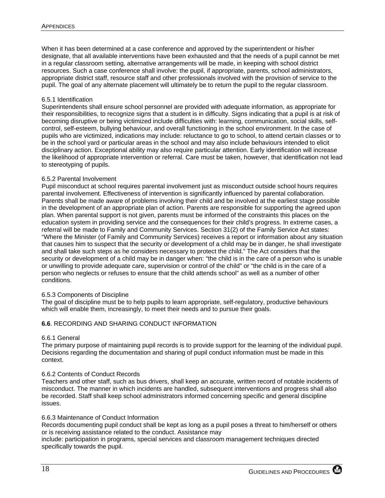When it has been determined at a case conference and approved by the superintendent or his/her designate, that all available interventions have been exhausted and that the needs of a pupil cannot be met in a regular classroom setting, alternative arrangements will be made, in keeping with school district resources. Such a case conference shall involve: the pupil, if appropriate, parents, school administrators, appropriate district staff, resource staff and other professionals involved with the provision of service to the pupil. The goal of any alternate placement will ultimately be to return the pupil to the regular classroom.

#### 6.5.1 Identification

Superintendents shall ensure school personnel are provided with adequate information, as appropriate for their responsibilities, to recognize signs that a student is in difficulty. Signs indicating that a pupil is at risk of becoming disruptive or being victimized include difficulties with: learning, communication, social skills, selfcontrol, self-esteem, bullying behaviour, and overall functioning in the school environment. In the case of pupils who are victimized, indications may include: reluctance to go to school, to attend certain classes or to be in the school yard or particular areas in the school and may also include behaviours intended to elicit disciplinary action. Exceptional ability may also require particular attention. Early identification will increase the likelihood of appropriate intervention or referral. Care must be taken, however, that identification not lead to stereotyping of pupils.

#### 6.5.2 Parental Involvement

Pupil misconduct at school requires parental involvement just as misconduct outside school hours requires parental involvement. Effectiveness of intervention is significantly influenced by parental collaboration. Parents shall be made aware of problems involving their child and be involved at the earliest stage possible in the development of an appropriate plan of action. Parents are responsible for supporting the agreed upon plan. When parental support is not given, parents must be informed of the constraints this places on the education system in providing service and the consequences for their child's progress. In extreme cases, a referral will be made to Family and Community Services. Section 31(2) of the Family Service Act states: "Where the Minister (of Family and Community Services) receives a report or information about any situation that causes him to suspect that the security or development of a child may be in danger, he shall investigate and shall take such steps as he considers necessary to protect the child." The Act considers that the security or development of a child may be in danger when: "the child is in the care of a person who is unable or unwilling to provide adequate care, supervision or control of the child" or "the child is in the care of a person who neglects or refuses to ensure that the child attends school" as well as a number of other conditions.

#### 6.5.3 Components of Discipline

The goal of discipline must be to help pupils to learn appropriate, self-regulatory, productive behaviours which will enable them, increasingly, to meet their needs and to pursue their goals.

#### **6.6**. RECORDING AND SHARING CONDUCT INFORMATION

#### 6.6.1 General

The primary purpose of maintaining pupil records is to provide support for the learning of the individual pupil. Decisions regarding the documentation and sharing of pupil conduct information must be made in this context.

#### 6.6.2 Contents of Conduct Records

Teachers and other staff, such as bus drivers, shall keep an accurate, written record of notable incidents of misconduct. The manner in which incidents are handled, subsequent interventions and progress shall also be recorded. Staff shall keep school administrators informed concerning specific and general discipline issues.

#### 6.6.3 Maintenance of Conduct Information

Records documenting pupil conduct shall be kept as long as a pupil poses a threat to him/herself or others or is receiving assistance related to the conduct. Assistance may

include: participation in programs, special services and classroom management techniques directed specifically towards the pupil.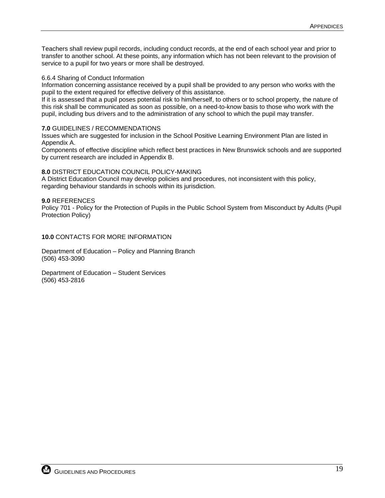Teachers shall review pupil records, including conduct records, at the end of each school year and prior to transfer to another school. At these points, any information which has not been relevant to the provision of service to a pupil for two years or more shall be destroyed.

#### 6.6.4 Sharing of Conduct Information

Information concerning assistance received by a pupil shall be provided to any person who works with the pupil to the extent required for effective delivery of this assistance.

If it is assessed that a pupil poses potential risk to him/herself, to others or to school property, the nature of this risk shall be communicated as soon as possible, on a need-to-know basis to those who work with the pupil, including bus drivers and to the administration of any school to which the pupil may transfer.

#### **7.0** GUIDELINES / RECOMMENDATIONS

Issues which are suggested for inclusion in the School Positive Learning Environment Plan are listed in Appendix A.

Components of effective discipline which reflect best practices in New Brunswick schools and are supported by current research are included in Appendix B.

#### **8.0** DISTRICT EDUCATION COUNCIL POLICY-MAKING

A District Education Council may develop policies and procedures, not inconsistent with this policy, regarding behaviour standards in schools within its jurisdiction.

#### **9.0** REFERENCES

Policy 701 - Policy for the Protection of Pupils in the Public School System from Misconduct by Adults (Pupil Protection Policy)

**10.0** CONTACTS FOR MORE INFORMATION

Department of Education – Policy and Planning Branch (506) 453-3090

Department of Education – Student Services (506) 453-2816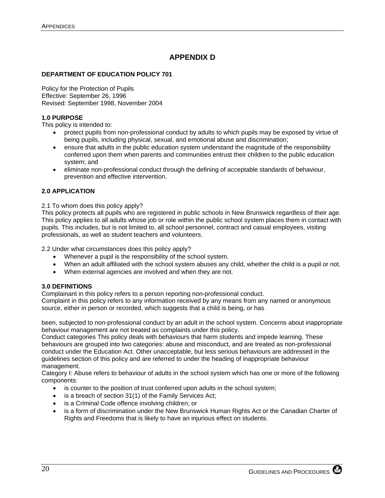## **APPENDIX D**

#### <span id="page-27-0"></span>**DEPARTMENT OF EDUCATION POLICY 701**

Policy for the Protection of Pupils Effective: September 26, 1996 Revised: September 1998, November 2004

#### **1.0 PURPOSE**

This policy is intended to:

- protect pupils from non-professional conduct by adults to which pupils may be exposed by virtue of being pupils, including physical, sexual, and emotional abuse and discrimination;
- ensure that adults in the public education system understand the magnitude of the responsibility conferred upon them when parents and communities entrust their children to the public education system; and
- eliminate non-professional conduct through the defining of acceptable standards of behaviour, prevention and effective intervention.

#### **2.0 APPLICATION**

2.1 To whom does this policy apply?

This policy protects all pupils who are registered in public schools in New Brunswick regardless of their age. This policy applies to all adults whose job or role within the public school system places them in contact with pupils. This includes, but is not limited to, all school personnel, contract and casual employees, visiting professionals, as well as student teachers and volunteers.

2.2 Under what circumstances does this policy apply?

- Whenever a pupil is the responsibility of the school system.
- When an adult affiliated with the school system abuses any child, whether the child is a pupil or not.
- When external agencies are involved and when they are not.

#### **3.0 DEFINITIONS**

Complainant in this policy refers to a person reporting non-professional conduct.

Complaint in this policy refers to any information received by any means from any named or anonymous source, either in person or recorded, which suggests that a child is being, or has

been, subjected to non-professional conduct by an adult in the school system. Concerns about inappropriate behaviour management are not treated as complaints under this policy.

Conduct categories This policy deals with behaviours that harm students and impede learning. These behaviours are grouped into two categories: abuse and misconduct, and are treated as non-professional conduct under the Education Act. Other unacceptable, but less serious behaviours are addressed in the guidelines section of this policy and are referred to under the heading of inappropriate behaviour management.

Category I: Abuse refers to behaviour of adults in the school system which has one or more of the following components:

- is counter to the position of trust conferred upon adults in the school system;
- is a breach of section 31(1) of the Family Services Act;
- is a Criminal Code offence involving children; or
- is a form of discrimination under the New Brunswick Human Rights Act or the Canadian Charter of Rights and Freedoms that is likely to have an injurious effect on students.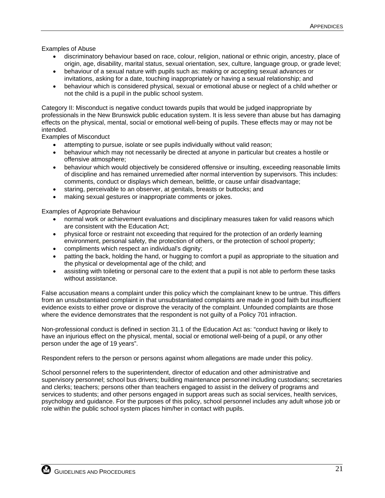Examples of Abuse

- discriminatory behaviour based on race, colour, religion, national or ethnic origin, ancestry, place of origin, age, disability, marital status, sexual orientation, sex, culture, language group, or grade level;
- behaviour of a sexual nature with pupils such as: making or accepting sexual advances or invitations, asking for a date, touching inappropriately or having a sexual relationship; and
- behaviour which is considered physical, sexual or emotional abuse or neglect of a child whether or not the child is a pupil in the public school system.

Category II: Misconduct is negative conduct towards pupils that would be judged inappropriate by professionals in the New Brunswick public education system. It is less severe than abuse but has damaging effects on the physical, mental, social or emotional well-being of pupils. These effects may or may not be intended.

Examples of Misconduct

- attempting to pursue, isolate or see pupils individually without valid reason;
- behaviour which may not necessarily be directed at anyone in particular but creates a hostile or offensive atmosphere;
- behaviour which would objectively be considered offensive or insulting, exceeding reasonable limits of discipline and has remained unremedied after normal intervention by supervisors. This includes: comments, conduct or displays which demean, belittle, or cause unfair disadvantage;
- staring, perceivable to an observer, at genitals, breasts or buttocks; and
- making sexual gestures or inappropriate comments or jokes.

Examples of Appropriate Behaviour

- normal work or achievement evaluations and disciplinary measures taken for valid reasons which are consistent with the Education Act;
- physical force or restraint not exceeding that required for the protection of an orderly learning environment, personal safety, the protection of others, or the protection of school property;
- compliments which respect an individual's dignity;
- patting the back, holding the hand, or hugging to comfort a pupil as appropriate to the situation and the physical or developmental age of the child; and
- assisting with toileting or personal care to the extent that a pupil is not able to perform these tasks without assistance.

False accusation means a complaint under this policy which the complainant knew to be untrue. This differs from an unsubstantiated complaint in that unsubstantiated complaints are made in good faith but insufficient evidence exists to either prove or disprove the veracity of the complaint. Unfounded complaints are those where the evidence demonstrates that the respondent is not guilty of a Policy 701 infraction.

Non-professional conduct is defined in section 31.1 of the Education Act as: "conduct having or likely to have an injurious effect on the physical, mental, social or emotional well-being of a pupil, or any other person under the age of 19 years".

Respondent refers to the person or persons against whom allegations are made under this policy.

School personnel refers to the superintendent, director of education and other administrative and supervisory personnel; school bus drivers; building maintenance personnel including custodians; secretaries and clerks; teachers; persons other than teachers engaged to assist in the delivery of programs and services to students; and other persons engaged in support areas such as social services, health services, psychology and guidance. For the purposes of this policy, school personnel includes any adult whose job or role within the public school system places him/her in contact with pupils.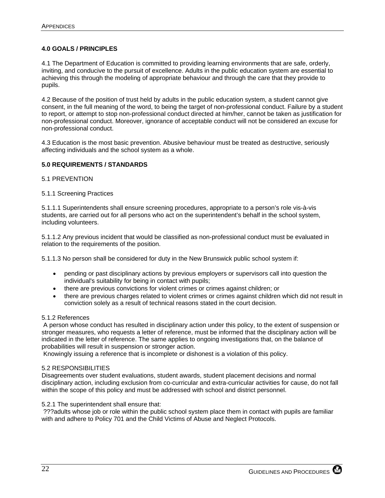#### **4.0 GOALS / PRINCIPLES**

4.1 The Department of Education is committed to providing learning environments that are safe, orderly, inviting, and conducive to the pursuit of excellence. Adults in the public education system are essential to achieving this through the modeling of appropriate behaviour and through the care that they provide to pupils.

4.2 Because of the position of trust held by adults in the public education system, a student cannot give consent, in the full meaning of the word, to being the target of non-professional conduct. Failure by a student to report, or attempt to stop non-professional conduct directed at him/her, cannot be taken as justification for non-professional conduct. Moreover, ignorance of acceptable conduct will not be considered an excuse for non-professional conduct.

4.3 Education is the most basic prevention. Abusive behaviour must be treated as destructive, seriously affecting individuals and the school system as a whole.

#### **5.0 REQUIREMENTS / STANDARDS**

#### 5.1 PREVENTION

#### 5.1.1 Screening Practices

5.1.1.1 Superintendents shall ensure screening procedures, appropriate to a person's role vis-à-vis students, are carried out for all persons who act on the superintendent's behalf in the school system, including volunteers.

5.1.1.2 Any previous incident that would be classified as non-professional conduct must be evaluated in relation to the requirements of the position.

5.1.1.3 No person shall be considered for duty in the New Brunswick public school system if:

- pending or past disciplinary actions by previous employers or supervisors call into question the individual's suitability for being in contact with pupils;
- there are previous convictions for violent crimes or crimes against children; or
- there are previous charges related to violent crimes or crimes against children which did not result in conviction solely as a result of technical reasons stated in the court decision.

#### 5.1.2 References

 A person whose conduct has resulted in disciplinary action under this policy, to the extent of suspension or stronger measures, who requests a letter of reference, must be informed that the disciplinary action will be indicated in the letter of reference. The same applies to ongoing investigations that, on the balance of probabilities will result in suspension or stronger action.

Knowingly issuing a reference that is incomplete or dishonest is a violation of this policy.

#### 5.2 RESPONSIBILITIES

Disagreements over student evaluations, student awards, student placement decisions and normal disciplinary action, including exclusion from co-curricular and extra-curricular activities for cause, do not fall within the scope of this policy and must be addressed with school and district personnel.

#### 5.2.1 The superintendent shall ensure that:

 ???adults whose job or role within the public school system place them in contact with pupils are familiar with and adhere to Policy 701 and the Child Victims of Abuse and Neglect Protocols.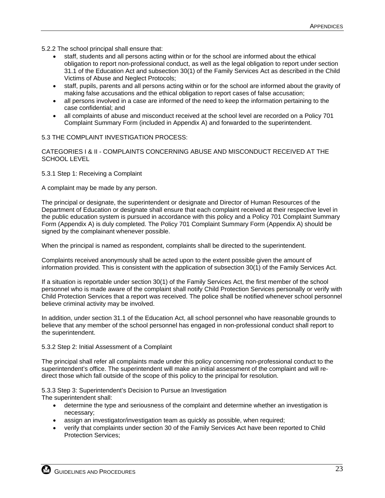5.2.2 The school principal shall ensure that:

- staff, students and all persons acting within or for the school are informed about the ethical obligation to report non-professional conduct, as well as the legal obligation to report under section 31.1 of the Education Act and subsection 30(1) of the Family Services Act as described in the Child Victims of Abuse and Neglect Protocols;
- staff, pupils, parents and all persons acting within or for the school are informed about the gravity of making false accusations and the ethical obligation to report cases of false accusation;
- all persons involved in a case are informed of the need to keep the information pertaining to the case confidential; and
- all complaints of abuse and misconduct received at the school level are recorded on a Policy 701 Complaint Summary Form (included in Appendix A) and forwarded to the superintendent.

#### 5.3 THE COMPLAINT INVESTIGATION PROCESS:

CATEGORIES I & II - COMPLAINTS CONCERNING ABUSE AND MISCONDUCT RECEIVED AT THE SCHOOL LEVEL

5.3.1 Step 1: Receiving a Complaint

A complaint may be made by any person.

The principal or designate, the superintendent or designate and Director of Human Resources of the Department of Education or designate shall ensure that each complaint received at their respective level in the public education system is pursued in accordance with this policy and a Policy 701 Complaint Summary Form (Appendix A) is duly completed. The Policy 701 Complaint Summary Form (Appendix A) should be signed by the complainant whenever possible.

When the principal is named as respondent, complaints shall be directed to the superintendent.

Complaints received anonymously shall be acted upon to the extent possible given the amount of information provided. This is consistent with the application of subsection 30(1) of the Family Services Act.

If a situation is reportable under section 30(1) of the Family Services Act, the first member of the school personnel who is made aware of the complaint shall notify Child Protection Services personally or verify with Child Protection Services that a report was received. The police shall be notified whenever school personnel believe criminal activity may be involved.

In addition, under section 31.1 of the Education Act, all school personnel who have reasonable grounds to believe that any member of the school personnel has engaged in non-professional conduct shall report to the superintendent.

#### 5.3.2 Step 2: Initial Assessment of a Complaint

The principal shall refer all complaints made under this policy concerning non-professional conduct to the superintendent's office. The superintendent will make an initial assessment of the complaint and will redirect those which fall outside of the scope of this policy to the principal for resolution.

5.3.3 Step 3: Superintendent's Decision to Pursue an Investigation

The superintendent shall:

- determine the type and seriousness of the complaint and determine whether an investigation is necessary;
- assign an investigator/investigation team as quickly as possible, when required;
- verify that complaints under section 30 of the Family Services Act have been reported to Child Protection Services;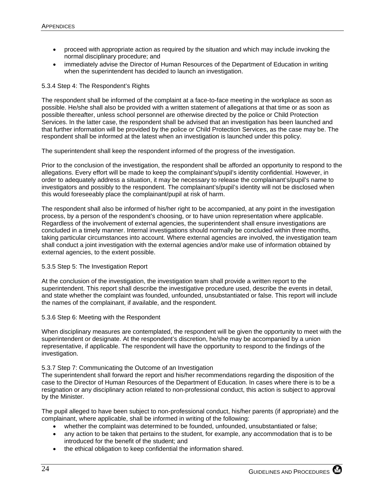- proceed with appropriate action as required by the situation and which may include invoking the normal disciplinary procedure; and
- immediately advise the Director of Human Resources of the Department of Education in writing when the superintendent has decided to launch an investigation.

#### 5.3.4 Step 4: The Respondent's Rights

The respondent shall be informed of the complaint at a face-to-face meeting in the workplace as soon as possible. He/she shall also be provided with a written statement of allegations at that time or as soon as possible thereafter, unless school personnel are otherwise directed by the police or Child Protection Services. In the latter case, the respondent shall be advised that an investigation has been launched and that further information will be provided by the police or Child Protection Services, as the case may be. The respondent shall be informed at the latest when an investigation is launched under this policy.

The superintendent shall keep the respondent informed of the progress of the investigation.

Prior to the conclusion of the investigation, the respondent shall be afforded an opportunity to respond to the allegations. Every effort will be made to keep the complainant's/pupil's identity confidential. However, in order to adequately address a situation, it may be necessary to release the complainant's/pupil's name to investigators and possibly to the respondent. The complainant's/pupil's identity will not be disclosed when this would foreseeably place the complainant/pupil at risk of harm.

The respondent shall also be informed of his/her right to be accompanied, at any point in the investigation process, by a person of the respondent's choosing, or to have union representation where applicable. Regardless of the involvement of external agencies, the superintendent shall ensure investigations are concluded in a timely manner. Internal investigations should normally be concluded within three months, taking particular circumstances into account. Where external agencies are involved, the investigation team shall conduct a joint investigation with the external agencies and/or make use of information obtained by external agencies, to the extent possible.

#### 5.3.5 Step 5: The Investigation Report

At the conclusion of the investigation, the investigation team shall provide a written report to the superintendent. This report shall describe the investigative procedure used, describe the events in detail, and state whether the complaint was founded, unfounded, unsubstantiated or false. This report will include the names of the complainant, if available, and the respondent.

#### 5.3.6 Step 6: Meeting with the Respondent

When disciplinary measures are contemplated, the respondent will be given the opportunity to meet with the superintendent or designate. At the respondent's discretion, he/she may be accompanied by a union representative, if applicable. The respondent will have the opportunity to respond to the findings of the investigation.

#### 5.3.7 Step 7: Communicating the Outcome of an Investigation

The superintendent shall forward the report and his/her recommendations regarding the disposition of the case to the Director of Human Resources of the Department of Education. In cases where there is to be a resignation or any disciplinary action related to non-professional conduct, this action is subject to approval by the Minister.

The pupil alleged to have been subject to non-professional conduct, his/her parents (if appropriate) and the complainant, where applicable, shall be informed in writing of the following:

- whether the complaint was determined to be founded, unfounded, unsubstantiated or false;
- any action to be taken that pertains to the student, for example, any accommodation that is to be introduced for the benefit of the student; and
- the ethical obligation to keep confidential the information shared.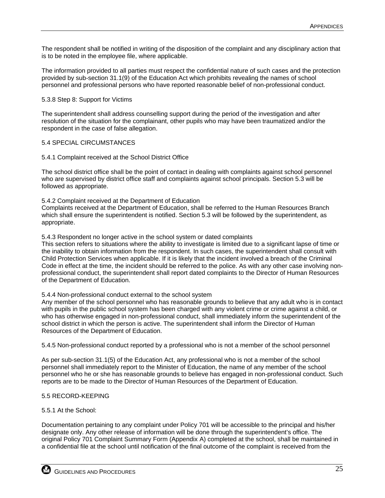The respondent shall be notified in writing of the disposition of the complaint and any disciplinary action that is to be noted in the employee file, where applicable.

The information provided to all parties must respect the confidential nature of such cases and the protection provided by sub-section 31.1(9) of the Education Act which prohibits revealing the names of school personnel and professional persons who have reported reasonable belief of non-professional conduct.

#### 5.3.8 Step 8: Support for Victims

The superintendent shall address counselling support during the period of the investigation and after resolution of the situation for the complainant, other pupils who may have been traumatized and/or the respondent in the case of false allegation.

#### 5.4 SPECIAL CIRCUMSTANCES

#### 5.4.1 Complaint received at the School District Office

The school district office shall be the point of contact in dealing with complaints against school personnel who are supervised by district office staff and complaints against school principals. Section 5.3 will be followed as appropriate.

#### 5.4.2 Complaint received at the Department of Education

Complaints received at the Department of Education, shall be referred to the Human Resources Branch which shall ensure the superintendent is notified. Section 5.3 will be followed by the superintendent, as appropriate.

#### 5.4.3 Respondent no longer active in the school system or dated complaints

This section refers to situations where the ability to investigate is limited due to a significant lapse of time or the inability to obtain information from the respondent. In such cases, the superintendent shall consult with Child Protection Services when applicable. If it is likely that the incident involved a breach of the Criminal Code in effect at the time, the incident should be referred to the police. As with any other case involving nonprofessional conduct, the superintendent shall report dated complaints to the Director of Human Resources of the Department of Education.

#### 5.4.4 Non-professional conduct external to the school system

Any member of the school personnel who has reasonable grounds to believe that any adult who is in contact with pupils in the public school system has been charged with any violent crime or crime against a child, or who has otherwise engaged in non-professional conduct, shall immediately inform the superintendent of the school district in which the person is active. The superintendent shall inform the Director of Human Resources of the Department of Education.

5.4.5 Non-professional conduct reported by a professional who is not a member of the school personnel

As per sub-section 31.1(5) of the Education Act, any professional who is not a member of the school personnel shall immediately report to the Minister of Education, the name of any member of the school personnel who he or she has reasonable grounds to believe has engaged in non-professional conduct. Such reports are to be made to the Director of Human Resources of the Department of Education.

#### 5.5 RECORD-KEEPING

#### 5.5.1 At the School:

Documentation pertaining to any complaint under Policy 701 will be accessible to the principal and his/her designate only. Any other release of information will be done through the superintendent's office. The original Policy 701 Complaint Summary Form (Appendix A) completed at the school, shall be maintained in a confidential file at the school until notification of the final outcome of the complaint is received from the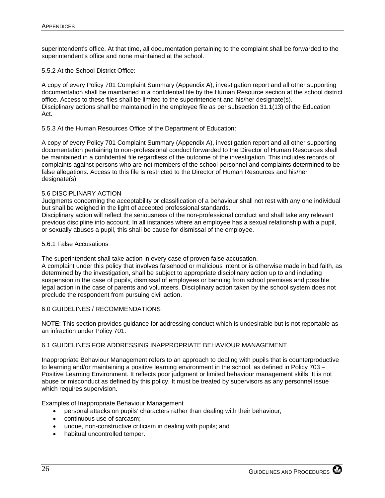superintendent's office. At that time, all documentation pertaining to the complaint shall be forwarded to the superintendent's office and none maintained at the school.

5.5.2 At the School District Office:

A copy of every Policy 701 Complaint Summary (Appendix A), investigation report and all other supporting documentation shall be maintained in a confidential file by the Human Resource section at the school district office. Access to these files shall be limited to the superintendent and his/her designate(s). Disciplinary actions shall be maintained in the employee file as per subsection 31.1(13) of the Education Act.

5.5.3 At the Human Resources Office of the Department of Education:

A copy of every Policy 701 Complaint Summary (Appendix A), investigation report and all other supporting documentation pertaining to non-professional conduct forwarded to the Director of Human Resources shall be maintained in a confidential file regardless of the outcome of the investigation. This includes records of complaints against persons who are not members of the school personnel and complaints determined to be false allegations. Access to this file is restricted to the Director of Human Resources and his/her designate(s).

#### 5.6 DISCIPLINARY ACTION

Judgments concerning the acceptability or classification of a behaviour shall not rest with any one individual but shall be weighed in the light of accepted professional standards.

Disciplinary action will reflect the seriousness of the non-professional conduct and shall take any relevant previous discipline into account. In all instances where an employee has a sexual relationship with a pupil, or sexually abuses a pupil, this shall be cause for dismissal of the employee.

#### 5.6.1 False Accusations

The superintendent shall take action in every case of proven false accusation.

A complaint under this policy that involves falsehood or malicious intent or is otherwise made in bad faith, as determined by the investigation, shall be subject to appropriate disciplinary action up to and including suspension in the case of pupils, dismissal of employees or banning from school premises and possible legal action in the case of parents and volunteers. Disciplinary action taken by the school system does not preclude the respondent from pursuing civil action.

#### 6.0 GUIDELINES / RECOMMENDATIONS

NOTE: This section provides guidance for addressing conduct which is undesirable but is not reportable as an infraction under Policy 701.

#### 6.1 GUIDELINES FOR ADDRESSING INAPPROPRIATE BEHAVIOUR MANAGEMENT

Inappropriate Behaviour Management refers to an approach to dealing with pupils that is counterproductive to learning and/or maintaining a positive learning environment in the school, as defined in Policy 703 – Positive Learning Environment. It reflects poor judgment or limited behaviour management skills. It is not abuse or misconduct as defined by this policy. It must be treated by supervisors as any personnel issue which requires supervision.

Examples of Inappropriate Behaviour Management

- personal attacks on pupils' characters rather than dealing with their behaviour;
- continuous use of sarcasm;
- undue, non-constructive criticism in dealing with pupils; and
- habitual uncontrolled temper.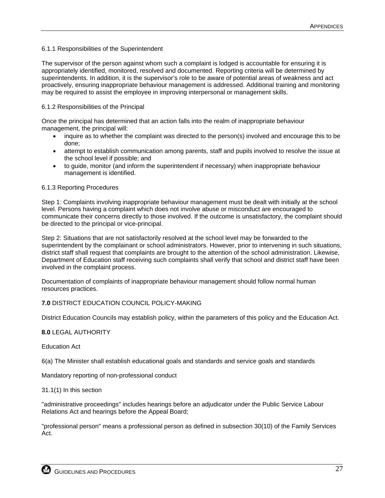#### 6.1.1 Responsibilities of the Superintendent

The supervisor of the person against whom such a complaint is lodged is accountable for ensuring it is appropriately identified, monitored, resolved and documented. Reporting criteria will be determined by superintendents. In addition, it is the supervisor's role to be aware of potential areas of weakness and act proactively, ensuring inappropriate behaviour management is addressed. Additional training and monitoring may be required to assist the employee in improving interpersonal or management skills.

#### 6.1.2 Responsibilities of the Principal

Once the principal has determined that an action falls into the realm of inappropriate behaviour management, the principal will:

- inquire as to whether the complaint was directed to the person(s) involved and encourage this to be done;
- attempt to establish communication among parents, staff and pupils involved to resolve the issue at the school level if possible; and
- to guide, monitor (and inform the superintendent if necessary) when inappropriate behaviour management is identified.

#### 6.1.3 Reporting Procedures

Step 1: Complaints involving inappropriate behaviour management must be dealt with initially at the school level. Persons having a complaint which does not involve abuse or misconduct are encouraged to communicate their concerns directly to those involved. If the outcome is unsatisfactory, the complaint should be directed to the principal or vice-principal.

Step 2: Situations that are not satisfactorily resolved at the school level may be forwarded to the superintendent by the complainant or school administrators. However, prior to intervening in such situations, district staff shall request that complaints are brought to the attention of the school administration. Likewise, Department of Education staff receiving such complaints shall verify that school and district staff have been involved in the complaint process.

Documentation of complaints of inappropriate behaviour management should follow normal human resources practices.

#### **7.0** DISTRICT EDUCATION COUNCIL POLICY-MAKING

District Education Councils may establish policy, within the parameters of this policy and the Education Act.

#### **8.0** LEGAL AUTHORITY

Education Act

6(a) The Minister shall establish educational goals and standards and service goals and standards

Mandatory reporting of non-professional conduct

#### 31.1(1) In this section

"administrative proceedings" includes hearings before an adjudicator under the Public Service Labour Relations Act and hearings before the Appeal Board;

"professional person" means a professional person as defined in subsection 30(10) of the Family Services Act.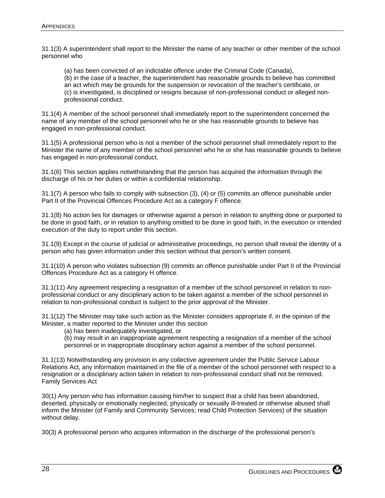31.1(3) A superintendent shall report to the Minister the name of any teacher or other member of the school personnel who

 (a) has been convicted of an indictable offence under the Criminal Code (Canada), (b) in the case of a teacher, the superintendent has reasonable grounds to believe has committed an act which may be grounds for the suspension or revocation of the teacher's certificate, or (c) is investigated, is disciplined or resigns because of non-professional conduct or alleged nonprofessional conduct.

31.1(4) A member of the school personnel shall immediately report to the superintendent concerned the name of any member of the school personnel who he or she has reasonable grounds to believe has engaged in non-professional conduct.

31.1(5) A professional person who is not a member of the school personnel shall immediately report to the Minister the name of any member of the school personnel who he or she has reasonable grounds to believe has engaged in non-professional conduct.

31.1(6) This section applies notwithstanding that the person has acquired the information through the discharge of his or her duties or within a confidential relationship.

31.1(7) A person who fails to comply with subsection (3), (4) or (5) commits an offence punishable under Part II of the Provincial Offences Procedure Act as a category F offence.

31.1(8) No action lies for damages or otherwise against a person in relation to anything done or purported to be done in good faith, or in relation to anything omitted to be done in good faith, in the execution or intended execution of the duty to report under this section.

31.1(9) Except in the course of judicial or administrative proceedings, no person shall reveal the identity of a person who has given information under this section without that person's written consent.

31.1(10) A person who violates subsection (9) commits an offence punishable under Part II of the Provincial Offences Procedure Act as a category H offence.

31.1(11) Any agreement respecting a resignation of a member of the school personnel in relation to nonprofessional conduct or any disciplinary action to be taken against a member of the school personnel in relation to non-professional conduct is subject to the prior approval of the Minister.

31.1(12) The Minister may take such action as the Minister considers appropriate if, in the opinion of the Minister, a matter reported to the Minister under this section

(a) has been inadequately investigated, or

(b) may result in an inappropriate agreement respecting a resignation of a member of the school personnel or in inappropriate disciplinary action against a member of the school personnel.

31.1(13) Notwithstanding any provision in any collective agreement under the Public Service Labour Relations Act, any information maintained in the file of a member of the school personnel with respect to a resignation or a disciplinary action taken in relation to non-professional conduct shall not be removed. Family Services Act

30(1) Any person who has information causing him/her to suspect that a child has been abandoned, deserted, physically or emotionally neglected, physically or sexually ill-treated or otherwise abused shall inform the Minister (of Family and Community Services; read Child Protection Services) of the situation without delay.

30(3) A professional person who acquires information in the discharge of the professional person's